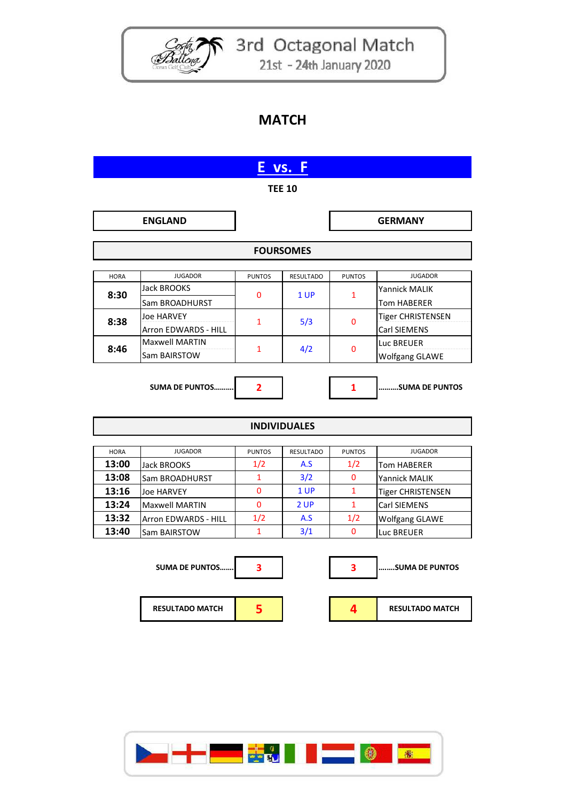

Code 3rd Octagonal Match 21st - 24th January 2020

## **MATCH**

| E vs. F              |                        |                      |                         |                     |                          |  |  |
|----------------------|------------------------|----------------------|-------------------------|---------------------|--------------------------|--|--|
| <b>TEE 10</b>        |                        |                      |                         |                     |                          |  |  |
|                      | <b>ENGLAND</b>         |                      |                         |                     | <b>GERMANY</b>           |  |  |
|                      |                        |                      |                         |                     |                          |  |  |
| <b>FOURSOMES</b>     |                        |                      |                         |                     |                          |  |  |
| <b>HORA</b>          | <b>JUGADOR</b>         | <b>PUNTOS</b>        | <b>RESULTADO</b>        | <b>PUNTOS</b>       | <b>JUGADOR</b>           |  |  |
|                      | <b>Jack BROOKS</b>     |                      |                         |                     | Yannick MALIK            |  |  |
| 8:30                 | Sam BROADHURST         | 0                    | 1 UP                    | $\mathbf{1}$        | <b>Tom HABERER</b>       |  |  |
|                      | <b>Joe HARVEY</b>      |                      |                         |                     | <b>Tiger CHRISTENSEN</b> |  |  |
| 8:38                 | Arron EDWARDS - HILL   | $\mathbf{1}$         | 5/3                     | $\Omega$            | Carl SIEMENS             |  |  |
|                      | <b>Maxwell MARTIN</b>  |                      |                         |                     | Luc BREUER               |  |  |
| 8:46                 | Sam BAIRSTOW           | 1                    | 4/2                     | 0                   | <b>Wolfgang GLAWE</b>    |  |  |
|                      |                        |                      |                         |                     |                          |  |  |
|                      | <b>SUMA DE PUNTOS</b>  | $\overline{2}$       |                         | 1                   | SUMA DE PUNTOS           |  |  |
|                      |                        |                      |                         |                     |                          |  |  |
|                      |                        |                      | <b>INDIVIDUALES</b>     |                     |                          |  |  |
|                      |                        |                      |                         |                     |                          |  |  |
| <b>HORA</b><br>13:00 | <b>JUGADOR</b>         | <b>PUNTOS</b><br>1/2 | <b>RESULTADO</b><br>A.S | <b>PUNTOS</b>       | <b>JUGADOR</b>           |  |  |
|                      | Jack BROOKS            | 1                    | 3/2                     | 1/2<br>$\mathbf{0}$ | <b>Tom HABERER</b>       |  |  |
| 13:08<br>13:16       | Sam BROADHURST         | 0                    | 1 UP                    | 1                   | Yannick MALIK            |  |  |
| 13:24                | <b>Joe HARVEY</b>      | 0                    | 2 UP                    | $\mathbf{1}$        | <b>Tiger CHRISTENSEN</b> |  |  |
| 13:32                | <b>Maxwell MARTIN</b>  | 1/2                  | A.S                     | 1/2                 | Carl SIEMENS             |  |  |
| 13:40                | Arron EDWARDS - HILL   | 1                    |                         | 0                   | <b>Wolfgang GLAWE</b>    |  |  |
|                      | Sam BAIRSTOW           |                      | 3/1                     |                     | Luc BREUER               |  |  |
|                      |                        |                      |                         |                     |                          |  |  |
|                      | <b>SUMA DE PUNTOS</b>  | 3                    |                         | 3                   | SUMA DE PUNTOS           |  |  |
|                      |                        |                      |                         |                     |                          |  |  |
|                      | <b>RESULTADO MATCH</b> | 5                    |                         | 4                   | <b>RESULTADO MATCH</b>   |  |  |